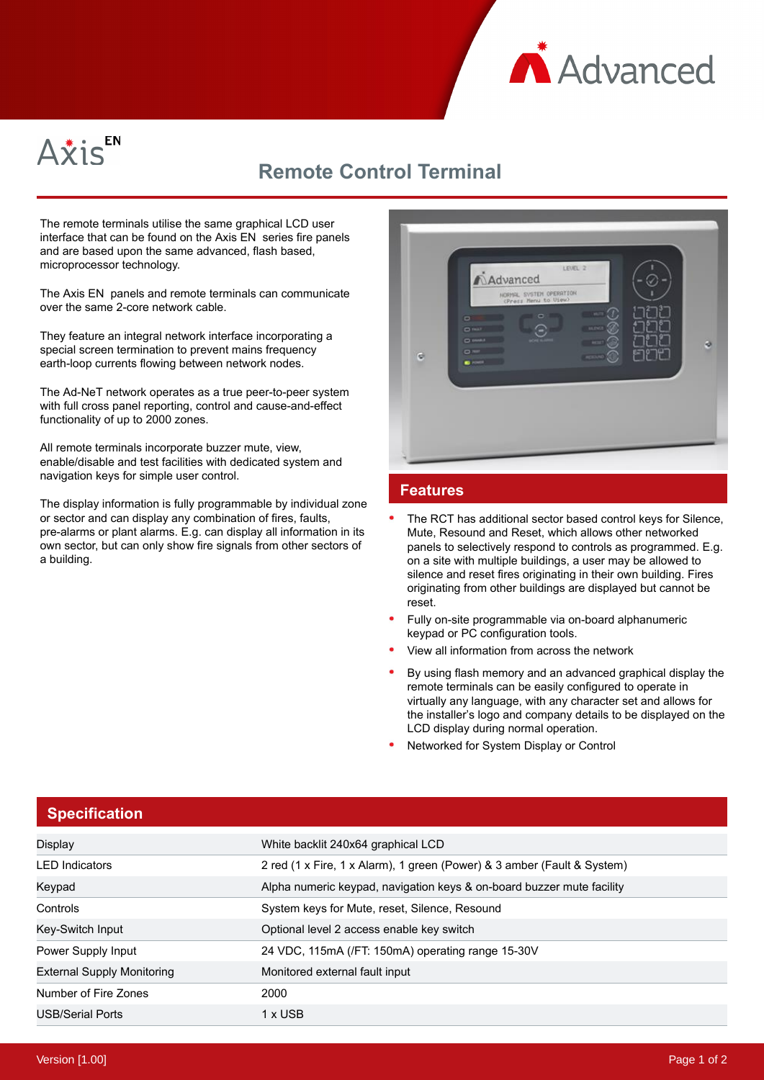



## **Remote Control Terminal**

The remote terminals utilise the same graphical LCD user interface that can be found on the Axis EN series fire panels and are based upon the same advanced, flash based, microprocessor technology.

The Axis EN panels and remote terminals can communicate over the same 2-core network cable.

They feature an integral network interface incorporating a special screen termination to prevent mains frequency earth-loop currents flowing between network nodes.

The Ad-NeT network operates as a true peer-to-peer system with full cross panel reporting, control and cause-and-effect functionality of up to 2000 zones.

All remote terminals incorporate buzzer mute, view, enable/disable and test facilities with dedicated system and navigation keys for simple user control.

The display information is fully programmable by individual zone or sector and can display any combination of fires, faults, pre-alarms or plant alarms. E.g. can display all information in its own sector, but can only show fire signals from other sectors of a building.

| $\Box$<br>$D$ may<br>$D$ Mar<br>Θ | LEVEL 2<br><b>A</b> dvanced<br>NORMAL SYSTEM OPERATION<br>(Press Nenu to View)<br>o<br>$D$ over $A$<br><b>CONTRACTOR</b> | $-0$<br><b>CENT</b> | ø |
|-----------------------------------|--------------------------------------------------------------------------------------------------------------------------|---------------------|---|
|                                   |                                                                                                                          |                     |   |

## **Features**

- The RCT has additional sector based control keys for Silence, Mute, Resound and Reset, which allows other networked panels to selectively respond to controls as programmed. E.g. on a site with multiple buildings, a user may be allowed to silence and reset fires originating in their own building. Fires originating from other buildings are displayed but cannot be reset.
- Fully on-site programmable via on-board alphanumeric keypad or PC configuration tools.
- View all information from across the network
- By using flash memory and an advanced graphical display the remote terminals can be easily configured to operate in virtually any language, with any character set and allows for the installer's logo and company details to be displayed on the LCD display during normal operation.
- Networked for System Display or Control

| <b>Specification</b>              |                                                                         |
|-----------------------------------|-------------------------------------------------------------------------|
| Display                           | White backlit 240x64 graphical LCD                                      |
| <b>LED</b> Indicators             | 2 red (1 x Fire, 1 x Alarm), 1 green (Power) & 3 amber (Fault & System) |
| Keypad                            | Alpha numeric keypad, navigation keys & on-board buzzer mute facility   |
| Controls                          | System keys for Mute, reset, Silence, Resound                           |
| Key-Switch Input                  | Optional level 2 access enable key switch                               |
| Power Supply Input                | 24 VDC, 115mA (/FT: 150mA) operating range 15-30V                       |
| <b>External Supply Monitoring</b> | Monitored external fault input                                          |
| Number of Fire Zones              | 2000                                                                    |
| <b>USB/Serial Ports</b>           | 1 x USB                                                                 |